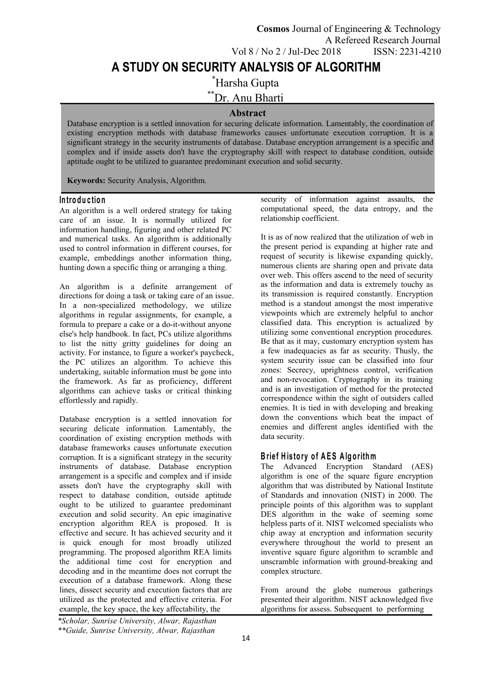\*Harsha Gupta

\*\*Dr. Anu Bharti

### **Abstract**

Database encryption is a settled innovation for securing delicate information. Lamentably, the coordination of existing encryption methods with database frameworks causes unfortunate execution corruption. It is a significant strategy in the security instruments of database. Database encryption arrangement is a specific and complex and if inside assets don't have the cryptography skill with respect to database condition, outside aptitude ought to be utilized to guarantee predominant execution and solid security.

**Keywords:** Security Analysis, Algorithm.

#### **In tro d u c tio n**

An algorithm is a well ordered strategy for taking care of an issue. It is normally utilized for information handling, figuring and other related PC and numerical tasks. An algorithm is additionally used to control information in different courses, for example, embeddings another information thing, hunting down a specific thing or arranging a thing.

An algorithm is a definite arrangement of directions for doing a task or taking care of an issue. In a non-specialized methodology, we utilize algorithms in regular assignments, for example, a formula to prepare a cake or a do-it-without anyone else's help handbook. In fact, PCs utilize algorithms to list the nitty gritty guidelines for doing an activity. For instance, to figure a worker's paycheck, the PC utilizes an algorithm. To achieve this undertaking, suitable information must be gone into the framework. As far as proficiency, different algorithms can achieve tasks or critical thinking effortlessly and rapidly.

Database encryption is a settled innovation for securing delicate information. Lamentably, the coordination of existing encryption methods with database frameworks causes unfortunate execution corruption. It is a significant strategy in the security instruments of database. Database encryption arrangement is a specific and complex and if inside assets don't have the cryptography skill with respect to database condition, outside aptitude ought to be utilized to guarantee predominant execution and solid security. An epic imaginative encryption algorithm REA is proposed. It is effective and secure. It has achieved security and it is quick enough for most broadly utilized programming. The proposed algorithm REA limits the additional time cost for encryption and decoding and in the meantime does not corrupt the execution of a database framework. Along these lines, dissect security and execution factors that are utilized as the protected and effective criteria. For example, the key space, the key affectability, the

security of information against assaults, the computational speed, the data entropy, and the relationship coefficient.

It is as of now realized that the utilization of web in the present period is expanding at higher rate and request of security is likewise expanding quickly, numerous clients are sharing open and private data over web. This offers ascend to the need of security as the information and data is extremely touchy as its transmission is required constantly. Encryption method is a standout amongst the most imperative viewpoints which are extremely helpful to anchor classified data. This encryption is actualized by utilizing some conventional encryption procedures. Be that as it may, customary encryption system has a few inadequacies as far as security. Thusly, the system security issue can be classified into four zones: Secrecy, uprightness control, verification and non-revocation. Cryptography in its training and is an investigation of method for the protected correspondence within the sight of outsiders called enemies. It is tied in with developing and breaking down the conventions which beat the impact of enemies and different angles identified with the data security.

# **B rie f H is to ry o f A E S A lg o rithm**

The Advanced Encryption Standard (AES) algorithm is one of the square figure encryption algorithm that was distributed by National Institute of Standards and innovation (NIST) in 2000. The principle points of this algorithm was to supplant DES algorithm in the wake of seeming some helpless parts of it. NIST welcomed specialists who chip away at encryption and information security everywhere throughout the world to present an inventive square figure algorithm to scramble and unscramble information with ground-breaking and complex structure.

From around the globe numerous gatherings presented their algorithm. NIST acknowledged five algorithms for assess. Subsequent to performing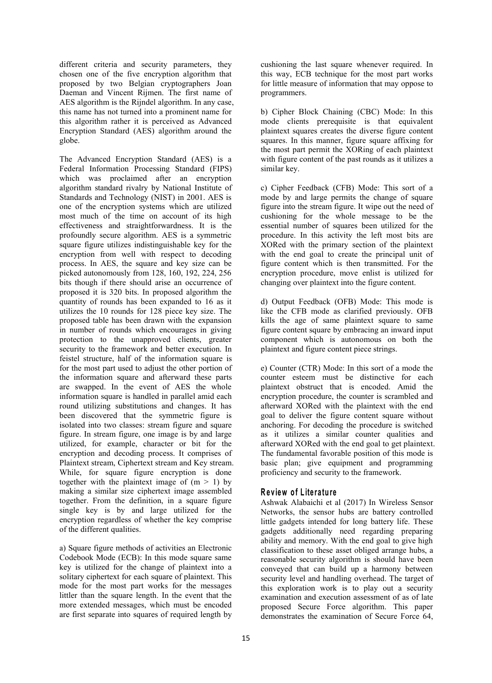different criteria and security parameters, they chosen one of the five encryption algorithm that proposed by two Belgian cryptographers Joan Daeman and Vincent Rijmen. The first name of AES algorithm is the Rijndel algorithm. In any case, this name has not turned into a prominent name for this algorithm rather it is perceived as Advanced Encryption Standard (AES) algorithm around the globe.

The Advanced Encryption Standard (AES) is a Federal Information Processing Standard (FIPS) which was proclaimed after an encryption algorithm standard rivalry by National Institute of Standards and Technology (NIST) in 2001. AES is one of the encryption systems which are utilized most much of the time on account of its high effectiveness and straightforwardness. It is the profoundly secure algorithm. AES is a symmetric square figure utilizes indistinguishable key for the encryption from well with respect to decoding process. In AES, the square and key size can be picked autonomously from 128, 160, 192, 224, 256 bits though if there should arise an occurrence of proposed it is 320 bits. In proposed algorithm the quantity of rounds has been expanded to 16 as it utilizes the 10 rounds for 128 piece key size. The proposed table has been drawn with the expansion in number of rounds which encourages in giving protection to the unapproved clients, greater security to the framework and better execution. In feistel structure, half of the information square is for the most part used to adjust the other portion of the information square and afterward these parts are swapped. In the event of AES the whole information square is handled in parallel amid each round utilizing substitutions and changes. It has been discovered that the symmetric figure is isolated into two classes: stream figure and square figure. In stream figure, one image isby and large utilized, for example, character or bit for the encryption and decoding process. It comprises of Plaintext stream, Ciphertext stream and Key stream. While, for square figure encryption is done together with the plaintext image of  $(m > 1)$  by making a similar size ciphertext image assembled together. From the definition, in a square figure single key is by and large utilized for the encryption regardless of whether the key comprise of the different qualities.

a) Square figure methods of activities an Electronic Codebook Mode (ECB): In this mode square same key is utilized for the change of plaintext into a solitary ciphertext for each square of plaintext. This mode for the most part works for the messages littler than the square length. In the event that the more extended messages, which must be encoded are first separate into squares of required length by

cushioning the last square whenever required. In this way, ECB technique for the most part works for little measure of information that may oppose to programmers.

b) Cipher Block Chaining (CBC) Mode: In this mode clients prerequisite is that equivalent plaintext squares creates the diverse figure content squares. In this manner, figure square affixing for the most part permit the XORing of each plaintext with figure content of the past rounds as it utilizes a similar key.

c) Cipher Feedback (CFB) Mode: This sort of a mode by and large permits the change of square figure into the stream figure. It wipe out the need of cushioning for the whole message to be the essential number of squares been utilized for the procedure. In this activity the left most bits are XORed with the primary section of the plaintext with the end goal to create the principal unit of figure content which is then transmitted. For the encryption procedure, move enlist is utilized for changing over plaintext into the figure content.

d) Output Feedback (OFB) Mode: This mode is like the CFB mode as clarified previously. OFB kills the age of same plaintext square to same figure content square by embracing an inward input component which is autonomous on both the plaintext and figure content piece strings.

e) Counter (CTR) Mode: In this sort of a mode the counter esteem must be distinctive for each plaintext obstruct that is encoded. Amid the encryption procedure, the counter is scrambled and afterward XORed with the plaintext with the end goal to deliver the figure content square without anchoring. For decoding the procedure is switched as it utilizes a similar counter qualities and afterward XORed with the end goal to get plaintext. The fundamental favorable position of this mode is basic plan; give equipment and programming proficiency and security to the framework.

#### **R e v iew o f L ite ra tu re**

Ashwak Alabaichiet al (2017) In Wireless Sensor Networks, the sensor hubs are battery controlled little gadgets intended for long battery life. These gadgets additionally need regarding preparing ability and memory. With the end goal to give high classification to these asset obliged arrange hubs, a reasonable security algorithm is should have been conveyed that can build up a harmony between security level and handling overhead. The target of this exploration work is to play out a security examination and execution assessment of as of late proposed Secure Force algorithm. This paper demonstrates the examination of Secure Force 64,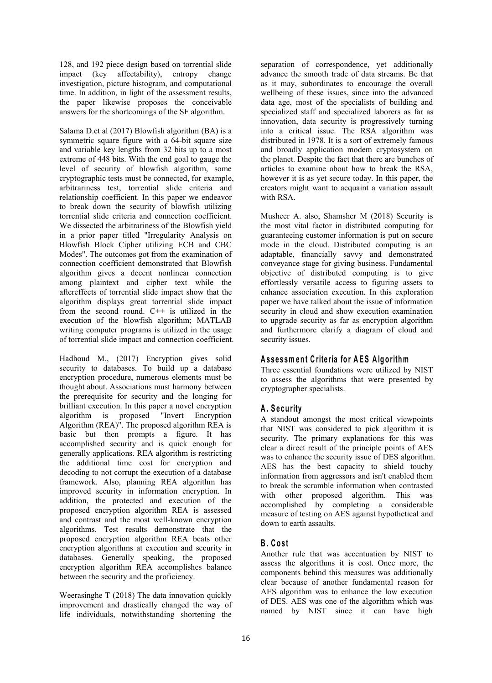128, and 192 piece design based on torrential slide impact (key affectability), entropy change investigation, picture histogram, and computational time. In addition, in light of the assessment results, the paper likewise proposes the conceivable answers for the shortcomings of the SF algorithm.

Salama D.et al (2017) Blowfish algorithm (BA) is a symmetric square figure with a 64-bit square size and variable key lengths from 32 bits up to a most extreme of 448 bits. With the end goal to gauge the level of security of blowfish algorithm, some cryptographic tests must be connected, for example, arbitrariness test, torrential slide criteria and relationship coefficient. In this paper we endeavor to break down the security of blowfish utilizing torrential slide criteria and connection coefficient. We dissected the arbitrariness of the Blowfish yield in a prior paper titled "Irregularity Analysis on Blowfish Block Cipher utilizing ECB and CBC Modes". The outcomes got from the examination of connection coefficient demonstrated that Blowfish algorithm gives a decent nonlinear connection among plaintext and cipher text while the aftereffects of torrential slide impact show that the algorithm displays great torrential slide impact from the second round.  $C++$  is utilized in the execution of the blowfish algorithm; MATLAB writing computer programs is utilized in the usage of torrential slide impact and connection coefficient.<br>Hadhoud M., (2017) Encryption gives solid

security to databases. To build up a database encryption procedure, numerous elements must be thought about. Associations must harmony between the prerequisite for security and the longing for brilliant execution. In this paper a novel encryption algorithm is proposed "Invert Encryption Algorithm (REA)". The proposed algorithm REA is basic but then prompts a figure. It has accomplished security and is quick enough for generally applications. REA algorithm is restricting the additional time cost for encryption and decoding to not corrupt the execution of a database framework. Also, planning REA algorithm has improved security in information encryption. In addition, the protected and execution of the proposed encryption algorithm REA is assessed and contrast and the most well-known encryption algorithms. Test results demonstrate that the proposed encryption algorithm REA beats other encryption algorithms at execution and security in databases. Generally speaking, the proposed encryption algorithm REA accomplishes balance between the security and the proficiency.

Weerasinghe T (2018) The data innovation quickly improvement and drastically changed the way of life individuals, notwithstanding shortening the

separation of correspondence, yet additionally advance the smooth trade of data streams. Be that as it may, subordinates to encourage the overall wellbeing of these issues, since into the advanced data age, most of the specialists of building and specialized staff and specialized laborers as far as innovation, data security is progressively turning into acritical issue. The RSA algorithm was distributed in 1978. It is a sort of extremely famous and broadly application modem cryptosystem on the planet. Despite the fact that there are bunches of articles to examine about how to break the RSA, however it is as yet secure today. In this paper, the creators might want to acquaint a variation assault with RSA.

Musheer A. also, Shamsher M (2018) Security is the most vital factor in distributed computing for guaranteeing customer information is put on secure mode in the cloud. Distributed computing is an adaptable, financially savvy and demonstrated conveyance stage for giving business. Fundamental objective of distributed computing is to give effortlessly versatile access to figuring assets to enhance association execution. In this exploration paper we have talked about the issue of information security in cloud and show execution examination to upgrade security as far as encryption algorithm and furthermore clarify a diagram of cloud and security issues.

#### **A s s e s sm en t C rite ria fo r A E S A lg o rithm**

Three essential foundations were utilized by NIST to assess the algorithms that were presented by cryptographer specialists.

# **A . S e cu rity**

A standout amongst the most critical viewpoints that NIST was considered to pick algorithm it is security. The primary explanations for this was clear a direct result of the principle points of AES was to enhance the security issue of DES algorithm. AES has the best capacity to shield touchy information from aggressors and isn't enabled them to break the scramble information when contrasted with other proposed algorithm. This was accomplished by completing a considerable measure of testing on AES against hypothetical and down to earth assaults.

#### **B . C o s t**

Another rule that was accentuation by NIST to assess the algorithms it is cost. Once more, the components behind this measures was additionally clear because of another fundamental reason for AES algorithm was to enhance the low execution of DES. AES was one of the algorithm which was named by NIST since it can have high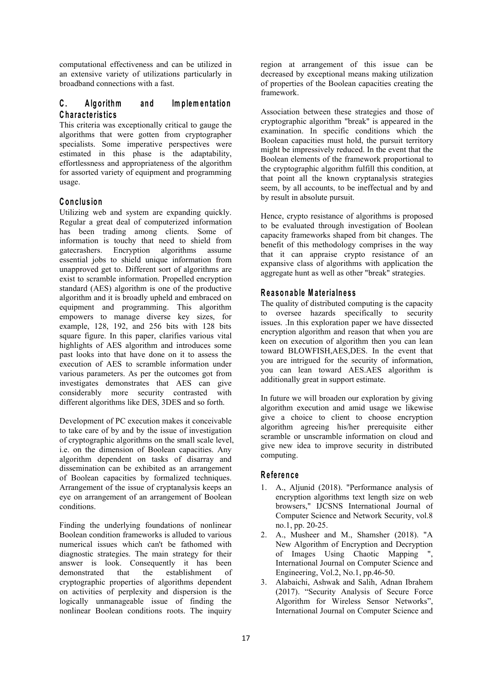computational effectiveness and can be utilized in an extensive variety of utilizations particularly in broadband connections with a fast.

# **C . A lg o rithm an d Im p lem en ta tio n C h a ra c te ris tic s**

This criteria was exceptionally critical to gauge the algorithms that were gotten from cryptographer specialists. Some imperative perspectives were estimated in this phase is the adaptability, effortlessness and appropriateness of the algorithm for assorted variety of equipment and programming usage.

### **C o n c lu sio n**

Utilizing web and system are expanding quickly. Regular a great deal of computerized information has been trading among clients. Some of information is touchy that need to shield from gatecrashers. Encryption algorithms assume essential jobs to shield unique information from unapproved get to. Different sort of algorithms are exist to scramble information. Propelled encryption standard (AES) algorithm is one of the productive algorithm and it is broadly upheld and embraced on equipment and programming. This algorithm empowers to manage diverse key sizes, for example, 128, 192, and 256 bits with 128 bits square figure. In this paper, clarifies various vital highlights of AES algorithm and introduces some past looks into that have done on it to assess the execution of AES to scramble information under various parameters. As per the outcomes got from investigates demonstrates that AES can give considerably more security contrasted with different algorithms like DES, 3DES and so forth.

Development of PC execution makes it conceivable to take care of by and by the issue of investigation of cryptographic algorithms on the small scale level, i.e. on the dimension of Boolean capacities. Any algorithm dependent on tasks of disarray and dissemination can be exhibited as an arrangement of Boolean capacities by formalized techniques. Arrangement of the issue of cryptanalysis keeps an eye on arrangement of an arrangement of Boolean conditions.

Finding the underlying foundations of nonlinear Boolean condition frameworks is alluded to various numerical issues which can't be fathomed with diagnostic strategies. The main strategy for their answer is look. Consequently it has been demonstrated that the establishment of cryptographic properties of algorithms dependent on activities of perplexity and dispersion is the logically unmanageable issue of finding the nonlinear Boolean conditions roots. The inquiry

region at arrangement of this issue can be decreased by exceptional means making utilization of properties of the Boolean capacities creating the framework.

Association between these strategies and those of cryptographic algorithm "break" is appeared in the examination. In specific conditions which the Boolean capacities must hold, the pursuit territory might be impressively reduced. In the event that the Boolean elements of the framework proportional to the cryptographic algorithm fulfill this condition, at that point all the known cryptanalysis strategies seem, by all accounts, to be ineffectual and by and by result in absolute pursuit.

Hence, crypto resistance of algorithms is proposed to be evaluated through investigation of Boolean capacity frameworks shaped from bit changes. The benefit of this methodology comprises in the way that it can appraise crypto resistance of an expansive class of algorithms with application the aggregate hunt as well as other "break" strategies.

### **R e a so n ab le M a te ria ln e ss**

The quality of distributed computing is the capacity to oversee hazards specifically to security issues. .In this exploration paper we have dissected encryption algorithm and reason that when you are keen on execution of algorithm then you can lean toward BLOWFISH,AES,DES. In the event that you are intrigued for the security of information, you can lean toward AES.AES algorithm is additionally great in support estimate.

In future we will broaden our exploration by giving algorithm execution and amid usage we likewise give a choice to client to choose encryption algorithm agreeing his/her prerequisite either scramble or unscramble information on cloud and give new idea to improve security in distributed computing.

#### **R e fe ren c e**

- 1. A., Aljunid (2018). "Performance analysis of encryption algorithms text length size on web browsers," IJCSNS International Journal of Computer Science and Network Security, vol.8 no.1, pp. 20-25.
- 2. A., Musheer and M., Shamsher (2018). "A New Algorithm of Encryption and Decryption of Images Using Chaotic Mapping ", International Journal on Computer Science and Engineering, Vol.2, No.1, pp.46-50.
- 3. Alabaichi, Ashwak and Salih, Adnan Ibrahem (2017). "Security Analysis of Secure Force Algorithm for Wireless Sensor Networks", International Journal on Computer Science and